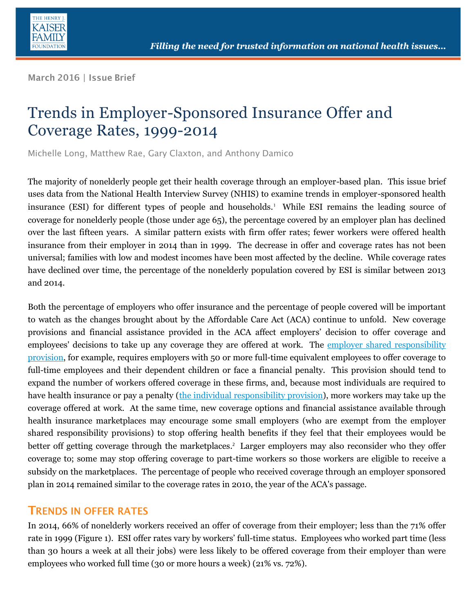

March 2016 | Issue Brief

# Trends in Employer-Sponsored Insurance Offer and Coverage Rates, 1999-2014

Michelle Long, Matthew Rae, Gary Claxton, and Anthony Damico

The majority of nonelderly people get their health coverage through an employer-based plan. This issue brief uses data from the National Health Interview Survey (NHIS) to examine trends in employer-sponsored health insurance (ESI) for different types of people and households. 1 While ESI remains the leading source of coverage for nonelderly people (those under age 65), the percentage covered by an employer plan has declined over the last fifteen years. A similar pattern exists with firm offer rates; fewer workers were offered health insurance from their employer in 2014 than in 1999. The decrease in offer and coverage rates has not been universal; families with low and modest incomes have been most affected by the decline. While coverage rates have declined over time, the percentage of the nonelderly population covered by ESI is similar between 2013 and 2014.

Both the percentage of employers who offer insurance and the percentage of people covered will be important to watch as the changes brought about by the Affordable Care Act (ACA) continue to unfold. New coverage provisions and financial assistance provided in the ACA affect employers' decision to offer coverage and employees' decisions to take up any coverage they are offered at work. The employer shared [responsibility](http://kff.org/infographic/employer-responsibility-under-the-affordable-care-act/)  [provision,](http://kff.org/infographic/employer-responsibility-under-the-affordable-care-act/) for example, requires employers with 50 or more full-time equivalent employees to offer coverage to full-time employees and their dependent children or face a financial penalty. This provision should tend to expand the number of workers offered coverage in these firms, and, because most individuals are required to have health insurance or pay a penalty [\(the individual responsibility provision\)](http://kff.org/health-reform/issue-brief/the-cost-of-the-individual-mandate-penalty-for-the-remaining-uninsured/), more workers may take up the coverage offered at work. At the same time, new coverage options and financial assistance available through health insurance marketplaces may encourage some small employers (who are exempt from the employer shared responsibility provisions) to stop offering health benefits if they feel that their employees would be better off getting coverage through the marketplaces. 2 Larger employers may also reconsider who they offer coverage to; some may stop offering coverage to part-time workers so those workers are eligible to receive a subsidy on the marketplaces. The percentage of people who received coverage through an employer sponsored plan in 2014 remained similar to the coverage rates in 2010, the year of the ACA's passage.

#### **TRENDS IN OFFER RATES**

In 2014, 66% of nonelderly workers received an offer of coverage from their employer; less than the 71% offer rate in 1999 (Figure 1). ESI offer rates vary by workers' full-time status. Employees who worked part time (less than 30 hours a week at all their jobs) were less likely to be offered coverage from their employer than were employees who worked full time (30 or more hours a week) (21% vs. 72%).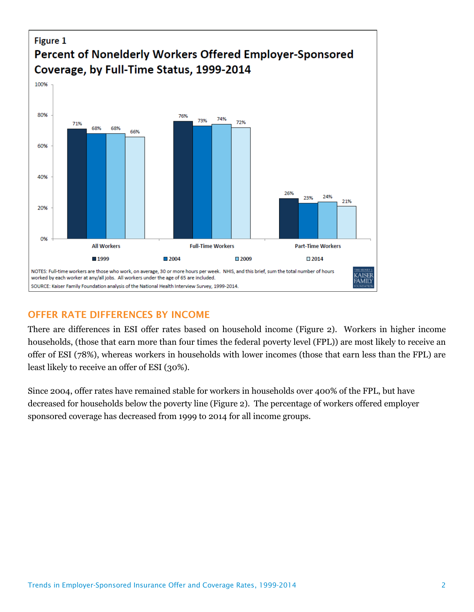

### **OFFER RATE DIFFERENCES BY INCOME**

There are differences in ESI offer rates based on household income (Figure 2). Workers in higher income households, (those that earn more than four times the federal poverty level (FPL)) are most likely to receive an offer of ESI (78%), whereas workers in households with lower incomes (those that earn less than the FPL) are least likely to receive an offer of ESI (30%).

Since 2004, offer rates have remained stable for workers in households over 400% of the FPL, but have decreased for households below the poverty line (Figure 2). The percentage of workers offered employer sponsored coverage has decreased from 1999 to 2014 for all income groups.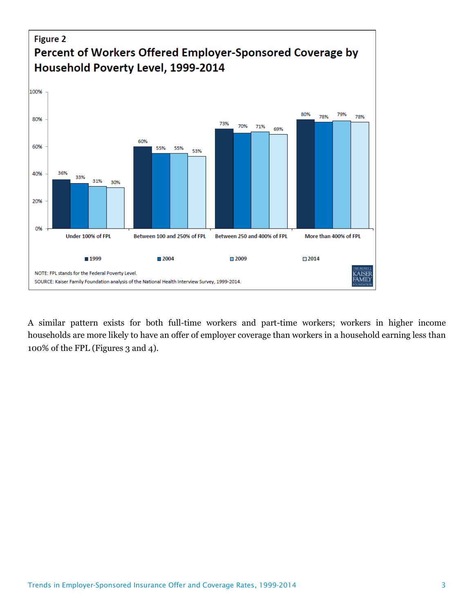

A similar pattern exists for both full-time workers and part-time workers; workers in higher income households are more likely to have an offer of employer coverage than workers in a household earning less than 100% of the FPL (Figures 3 and 4).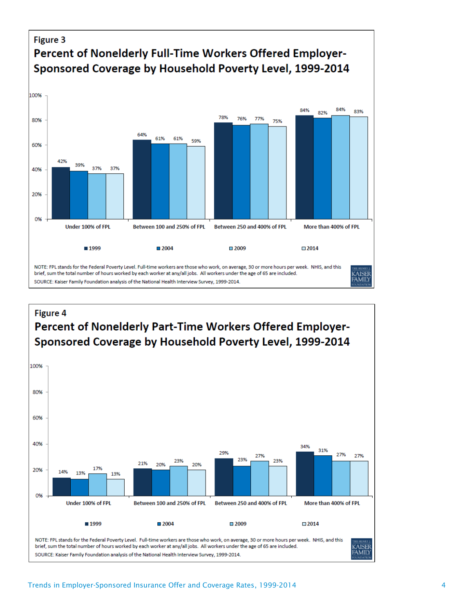

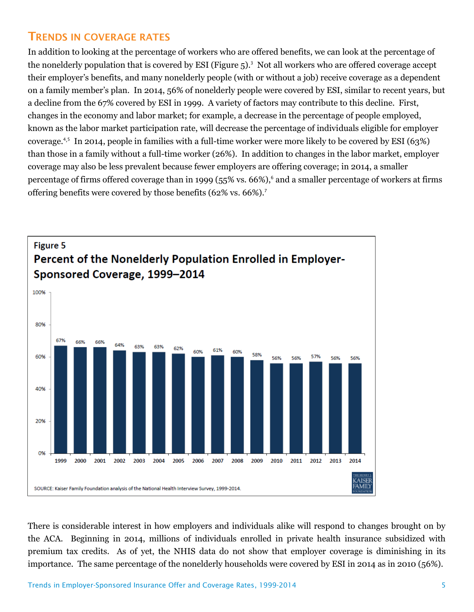#### **TRENDS IN COVERAGE RATES**

In addition to looking at the percentage of workers who are offered benefits, we can look at the percentage of the nonelderly population that is covered by ESI (Figure 5). 3 Not all workers who are offered coverage accept their employer's benefits, and many nonelderly people (with or without a job) receive coverage as a dependent on a family member's plan. In 2014, 56% of nonelderly people were covered by ESI, similar to recent years, but a decline from the 67% covered by ESI in 1999. A variety of factors may contribute to this decline. First, changes in the economy and labor market; for example, a decrease in the percentage of people employed, known as the labor market participation rate, will decrease the percentage of individuals eligible for employer coverage.4,<sup>5</sup> In 2014, people in families with a full-time worker were more likely to be covered by ESI (63%) than those in a family without a full-time worker (26%). In addition to changes in the labor market, employer coverage may also be less prevalent because fewer employers are offering coverage; in 2014, a smaller percentage of firms offered coverage than in 1999 (55% vs. 66%),<sup>6</sup> and a smaller percentage of workers at firms offering benefits were covered by those benefits (62% vs. 66%).<sup>7</sup>



There is considerable interest in how employers and individuals alike will respond to changes brought on by the ACA. Beginning in 2014, millions of individuals enrolled in private health insurance subsidized with premium tax credits. As of yet, the NHIS data do not show that employer coverage is diminishing in its importance. The same percentage of the nonelderly households were covered by ESI in 2014 as in 2010 (56%).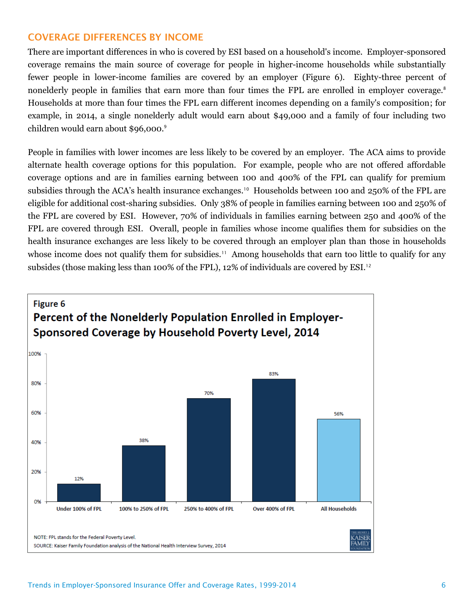#### **COVERAGE DIFFERENCES BY INCOME**

There are important differences in who is covered by ESI based on a household's income. Employer-sponsored coverage remains the main source of coverage for people in higher-income households while substantially fewer people in lower-income families are covered by an employer (Figure 6). Eighty-three percent of nonelderly people in families that earn more than four times the FPL are enrolled in employer coverage.<sup>8</sup> Households at more than four times the FPL earn different incomes depending on a family's composition; for example, in 2014, a single nonelderly adult would earn about \$49,000 and a family of four including two children would earn about \$96,000.<sup>9</sup>

People in families with lower incomes are less likely to be covered by an employer. The ACA aims to provide alternate health coverage options for this population. For example, people who are not offered affordable coverage options and are in families earning between 100 and 400% of the FPL can qualify for premium subsidies through the ACA's health insurance exchanges.<sup>10</sup> Households between 100 and 250% of the FPL are eligible for additional cost-sharing subsidies. Only 38% of people in families earning between 100 and 250% of the FPL are covered by ESI. However, 70% of individuals in families earning between 250 and 400% of the FPL are covered through ESI. Overall, people in families whose income qualifies them for subsidies on the health insurance exchanges are less likely to be covered through an employer plan than those in households whose income does not qualify them for subsidies.<sup>11</sup> Among households that earn too little to qualify for any subsides (those making less than 100% of the FPL), 12% of individuals are covered by ESI.<sup>12</sup>

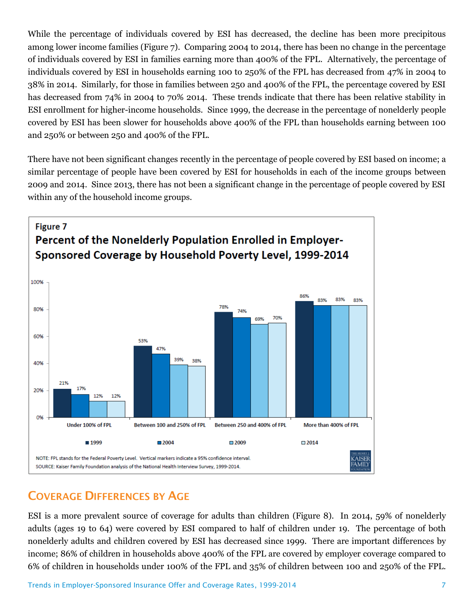While the percentage of individuals covered by ESI has decreased, the decline has been more precipitous among lower income families (Figure 7). Comparing 2004 to 2014, there has been no change in the percentage of individuals covered by ESI in families earning more than 400% of the FPL. Alternatively, the percentage of individuals covered by ESI in households earning 100 to 250% of the FPL has decreased from 47% in 2004 to 38% in 2014. Similarly, for those in families between 250 and 400% of the FPL, the percentage covered by ESI has decreased from 74% in 2004 to 70% 2014. These trends indicate that there has been relative stability in ESI enrollment for higher-income households. Since 1999, the decrease in the percentage of nonelderly people covered by ESI has been slower for households above 400% of the FPL than households earning between 100 and 250% or between 250 and 400% of the FPL.

There have not been significant changes recently in the percentage of people covered by ESI based on income; a similar percentage of people have been covered by ESI for households in each of the income groups between 2009 and 2014. Since 2013, there has not been a significant change in the percentage of people covered by ESI within any of the household income groups.



## **COVERAGE DIFFERENCES BY AGE**

ESI is a more prevalent source of coverage for adults than children (Figure 8). In 2014, 59% of nonelderly adults (ages 19 to 64) were covered by ESI compared to half of children under 19. The percentage of both nonelderly adults and children covered by ESI has decreased since 1999. There are important differences by income; 86% of children in households above 400% of the FPL are covered by employer coverage compared to 6% of children in households under 100% of the FPL and 35% of children between 100 and 250% of the FPL.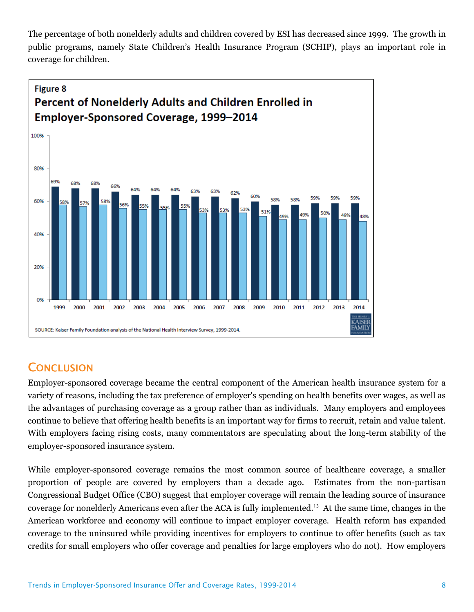The percentage of both nonelderly adults and children covered by ESI has decreased since 1999. The growth in public programs, namely State Children's Health Insurance Program (SCHIP), plays an important role in coverage for children.



## **CONCLUSION**

Employer-sponsored coverage became the central component of the American health insurance system for a variety of reasons, including the tax preference of employer's spending on health benefits over wages, as well as the advantages of purchasing coverage as a group rather than as individuals. Many employers and employees continue to believe that offering health benefits is an important way for firms to recruit, retain and value talent. With employers facing rising costs, many commentators are speculating about the long-term stability of the employer-sponsored insurance system.

While employer-sponsored coverage remains the most common source of healthcare coverage, a smaller proportion of people are covered by employers than a decade ago. Estimates from the non-partisan Congressional Budget Office (CBO) suggest that employer coverage will remain the leading source of insurance coverage for nonelderly Americans even after the ACA is fully implemented.<sup>13</sup> At the same time, changes in the American workforce and economy will continue to impact employer coverage. Health reform has expanded coverage to the uninsured while providing incentives for employers to continue to offer benefits (such as tax credits for small employers who offer coverage and penalties for large employers who do not). How employers